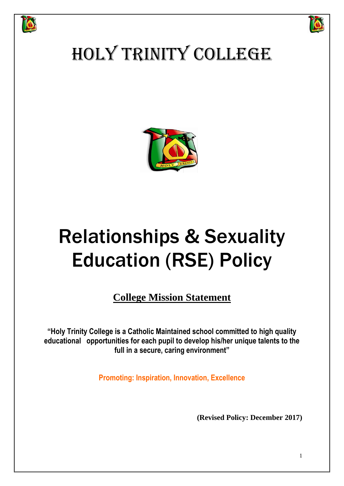



## HOLY TRINITY COLLEGE



# Relationships & Sexuality Education (RSE) Policy

**College Mission Statement**

**"Holy Trinity College is a Catholic Maintained school committed to high quality educational opportunities for each pupil to develop his/her unique talents to the full in a secure, caring environment"**

**Promoting: Inspiration, Innovation, Excellence**

**(Revised Policy: December 2017)**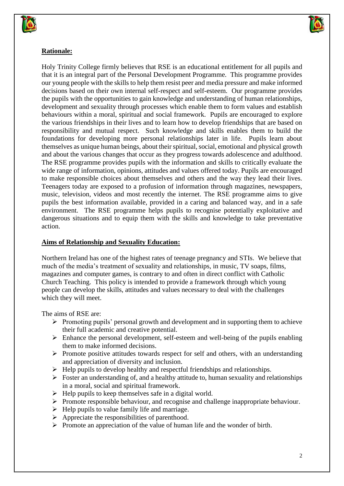



## **Rationale:**

Holy Trinity College firmly believes that RSE is an educational entitlement for all pupils and that it is an integral part of the Personal Development Programme. This programme provides our young people with the skills to help them resist peer and media pressure and make informed decisions based on their own internal self-respect and self-esteem. Our programme provides the pupils with the opportunities to gain knowledge and understanding of human relationships, development and sexuality through processes which enable them to form values and establish behaviours within a moral, spiritual and social framework. Pupils are encouraged to explore the various friendships in their lives and to learn how to develop friendships that are based on responsibility and mutual respect. Such knowledge and skills enables them to build the foundations for developing more personal relationships later in life. Pupils learn about themselves as unique human beings, about their spiritual, social, emotional and physical growth and about the various changes that occur as they progress towards adolescence and adulthood. The RSE programme provides pupils with the information and skills to critically evaluate the wide range of information, opinions, attitudes and values offered today. Pupils are encouraged to make responsible choices about themselves and others and the way they lead their lives. Teenagers today are exposed to a profusion of information through magazines, newspapers, music, television, videos and most recently the internet. The RSE programme aims to give pupils the best information available, provided in a caring and balanced way, and in a safe environment. The RSE programme helps pupils to recognise potentially exploitative and dangerous situations and to equip them with the skills and knowledge to take preventative action.

#### **Aims of Relationship and Sexuality Education:**

Northern Ireland has one of the highest rates of teenage pregnancy and STIs. We believe that much of the media's treatment of sexuality and relationships, in music, TV soaps, films, magazines and computer games, is contrary to and often in direct conflict with Catholic Church Teaching. This policy is intended to provide a framework through which young people can develop the skills, attitudes and values necessary to deal with the challenges which they will meet.

The aims of RSE are:

- $\triangleright$  Promoting pupils' personal growth and development and in supporting them to achieve their full academic and creative potential.
- $\triangleright$  Enhance the personal development, self-esteem and well-being of the pupils enabling them to make informed decisions.
- $\triangleright$  Promote positive attitudes towards respect for self and others, with an understanding and appreciation of diversity and inclusion.
- $\triangleright$  Help pupils to develop healthy and respectful friendships and relationships.
- $\triangleright$  Foster an understanding of, and a healthy attitude to, human sexuality and relationships in a moral, social and spiritual framework.
- $\triangleright$  Help pupils to keep themselves safe in a digital world.
- $\triangleright$  Promote responsible behaviour, and recognise and challenge inappropriate behaviour.
- $\triangleright$  Help pupils to value family life and marriage.
- $\triangleright$  Appreciate the responsibilities of parenthood.
- $\triangleright$  Promote an appreciation of the value of human life and the wonder of birth.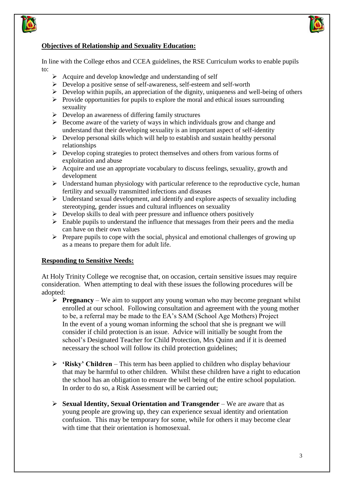



## **Objectives of Relationship and Sexuality Education:**

In line with the College ethos and CCEA guidelines, the RSE Curriculum works to enable pupils to:

- $\triangleright$  Acquire and develop knowledge and understanding of self
- $\triangleright$  Develop a positive sense of self-awareness, self-esteem and self-worth
- $\triangleright$  Develop within pupils, an appreciation of the dignity, uniqueness and well-being of others
- $\triangleright$  Provide opportunities for pupils to explore the moral and ethical issues surrounding sexuality
- $\triangleright$  Develop an awareness of differing family structures
- $\triangleright$  Become aware of the variety of ways in which individuals grow and change and understand that their developing sexuality is an important aspect of self-identity
- $\triangleright$  Develop personal skills which will help to establish and sustain healthy personal relationships
- $\triangleright$  Develop coping strategies to protect themselves and others from various forms of exploitation and abuse
- $\triangleright$  Acquire and use an appropriate vocabulary to discuss feelings, sexuality, growth and development
- $\triangleright$  Understand human physiology with particular reference to the reproductive cycle, human fertility and sexually transmitted infections and diseases
- $\triangleright$  Understand sexual development, and identify and explore aspects of sexuality including stereotyping, gender issues and cultural influences on sexuality
- $\triangleright$  Develop skills to deal with peer pressure and influence others positively
- $\triangleright$  Enable pupils to understand the influence that messages from their peers and the media can have on their own values
- $\triangleright$  Prepare pupils to cope with the social, physical and emotional challenges of growing up as a means to prepare them for adult life.

## **Responding to Sensitive Needs:**

At Holy Trinity College we recognise that, on occasion, certain sensitive issues may require consideration. When attempting to deal with these issues the following procedures will be adopted:

- **Pregnancy** We aim to support any young woman who may become pregnant whilst enrolled at our school. Following consultation and agreement with the young mother to be, a referral may be made to the EA's SAM (School Age Mothers) Project In the event of a young woman informing the school that she is pregnant we will consider if child protection is an issue. Advice will initially be sought from the school's Designated Teacher for Child Protection, Mrs Quinn and if it is deemed necessary the school will follow its child protection guidelines;
- **'Risky' Children** This term has been applied to children who display behaviour that may be harmful to other children. Whilst these children have a right to education the school has an obligation to ensure the well being of the entire school population. In order to do so, a Risk Assessment will be carried out;
- **Sexual Identity, Sexual Orientation and Transgender** We are aware that as young people are growing up, they can experience sexual identity and orientation confusion. This may be temporary for some, while for others it may become clear with time that their orientation is homosexual.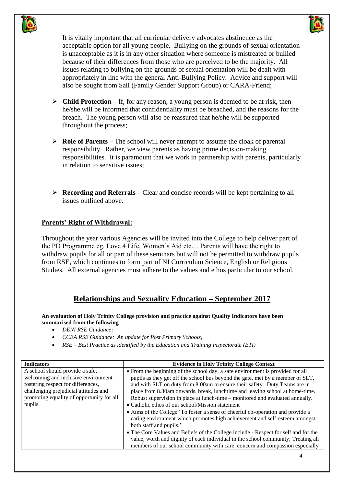



It is vitally important that all curricular delivery advocates abstinence as the acceptable option for all young people. Bullying on the grounds of sexual orientation is unacceptable as it is in any other situation where someone is mistreated or bullied because of their differences from those who are perceived to be the majority. All issues relating to bullying on the grounds of sexual orientation will be dealt with appropriately in line with the general Anti-Bullying Policy. Advice and support will also be sought from Sail (Family Gender Support Group) or CARA-Friend;

- $\triangleright$  **Child Protection** If, for any reason, a young person is deemed to be at risk, then he/she will be informed that confidentiality must be breached, and the reasons for the breach. The young person will also be reassured that he/she will be supported throughout the process;
- **Role of Parents** The school will never attempt to assume the cloak of parental responsibility. Rather, we view parents as having prime decision-making responsibilities. It is paramount that we work in partnership with parents, particularly in relation to sensitive issues;
- **Recording and Referrals** Clear and concise records will be kept pertaining to all issues outlined above.

## **Parents' Right of Withdrawal:**

Throughout the year various Agencies will be invited into the College to help deliver part of the PD Programme eg. Love 4 Life, Women's Aid etc… Parents will have the right to withdraw pupils for all or part of these seminars but will not be permitted to withdraw pupils from RSE, which continues to form part of NI Curriculum Science, English or Religious Studies. All external agencies must adhere to the values and ethos particular to our school.

## **Relationships and Sexuality Education – September 2017**

**An evaluation of Holy Trinity College provision and practice against Quality Indicators have been summarised from the following** 

- *DENI RSE Guidance;*
- *CCEA RSE Guidance: An update for Post Primary Schools;*
- *RSE – Best Practice as identified by the Education and Training Inspectorate (ETI)*

| <b>Indicators</b>                                                                                                                                                                                               | <b>Evidence in Holy Trinity College Context</b>                                                                                                                                                                                                                                                                                                                                                                                                                                                                                                                                                                                                                                                                                                                                                                                                                                                                             |
|-----------------------------------------------------------------------------------------------------------------------------------------------------------------------------------------------------------------|-----------------------------------------------------------------------------------------------------------------------------------------------------------------------------------------------------------------------------------------------------------------------------------------------------------------------------------------------------------------------------------------------------------------------------------------------------------------------------------------------------------------------------------------------------------------------------------------------------------------------------------------------------------------------------------------------------------------------------------------------------------------------------------------------------------------------------------------------------------------------------------------------------------------------------|
| A school should provide a safe,<br>welcoming and inclusive environment -<br>fostering respect for differences,<br>challenging prejudicial attitudes and<br>promoting equality of opportunity for all<br>pupils. | • From the beginning of the school day, a safe environment is provided for all<br>pupils as they get off the school bus beyond the gate, met by a member of SLT,<br>and with SLT on duty from 8.00am to ensure their safety. Duty Teams are in<br>place from 8.30am onwards, break, lunchtime and leaving school at home-time.<br>Robust supervision in place at lunch-time – monitored and evaluated annually.<br>• Catholic ethos of our school/Mission statement<br>• Aims of the College 'To foster a sense of cheerful co-operation and provide a<br>caring environment which promotes high achievement and self-esteem amongst<br>both staff and pupils.'<br>• The Core Values and Beliefs of the College include - Respect for self and for the<br>value, worth and dignity of each individual in the school community; Treating all<br>members of our school community with care, concern and compassion especially |
|                                                                                                                                                                                                                 |                                                                                                                                                                                                                                                                                                                                                                                                                                                                                                                                                                                                                                                                                                                                                                                                                                                                                                                             |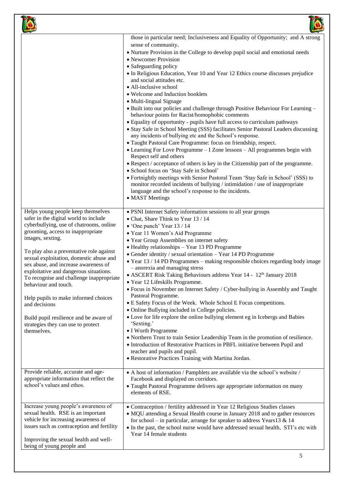|                                                                                                                                                                                                                                                                                                                                                                                                                                                                                                                                                                                      | those in particular need; Inclusiveness and Equality of Opportunity; and A strong<br>sense of community.<br>• Nurture Provision in the College to develop pupil social and emotional needs<br>• Newcomer Provision<br>• Safeguarding policy<br>• In Religious Education, Year 10 and Year 12 Ethics course discusses prejudice<br>and social attitudes etc.<br>• All-inclusive school<br>• Welcome and Induction booklets<br>• Multi-lingual Signage<br>• Built into our policies and challenge through Positive Behaviour For Learning -<br>behaviour points for Racist/homophobic comments<br>• Equality of opportunity - pupils have full access to curriculum pathways<br>• Stay Safe in School Meeting (SSS) facilitates Senior Pastoral Leaders discussing<br>any incidents of bullying etc and the School's response.<br>• Taught Pastoral Care Programme: focus on friendship, respect.<br>• Learning For Love Programme - I Zone lessons - All programmes begin with<br>Respect self and others<br>• Respect / acceptance of others is key in the Citizenship part of the programme.<br>· School focus on 'Stay Safe in School'<br>• Fortnightly meetings with Senior Pastoral Team 'Stay Safe in School' (SSS) to<br>monitor recorded incidents of bullying / intimidation / use of inappropriate<br>language and the school's response to the incidents.<br>• MAST Meetings |
|--------------------------------------------------------------------------------------------------------------------------------------------------------------------------------------------------------------------------------------------------------------------------------------------------------------------------------------------------------------------------------------------------------------------------------------------------------------------------------------------------------------------------------------------------------------------------------------|----------------------------------------------------------------------------------------------------------------------------------------------------------------------------------------------------------------------------------------------------------------------------------------------------------------------------------------------------------------------------------------------------------------------------------------------------------------------------------------------------------------------------------------------------------------------------------------------------------------------------------------------------------------------------------------------------------------------------------------------------------------------------------------------------------------------------------------------------------------------------------------------------------------------------------------------------------------------------------------------------------------------------------------------------------------------------------------------------------------------------------------------------------------------------------------------------------------------------------------------------------------------------------------------------------------------------------------------------------------------------------------|
| Helps young people keep themselves<br>safer in the digital world to include<br>cyberbullying, use of chatrooms, online<br>grooming, access to inappropriate<br>images, sexting.<br>To play also a preventative role against<br>sexual exploitation, domestic abuse and<br>sex abuse, and increase awareness of<br>exploitative and dangerous situations.<br>To recognise and challenge inappropriate<br>behaviour and touch.<br>Help pupils to make informed choices<br>and decisions<br>Build pupil resilience and be aware of<br>strategies they can use to protect<br>themselves. | · PSNI Internet Safety information sessions to all year groups<br>• Chat, Share Think to Year 13 / 14<br>$\bullet$ 'One punch' Year 13 / 14<br>• Year 11 Women's Aid Programme<br>• Year Group Assemblies on internet safety<br>• Healthy relationships - Year 13 PD Programme<br>• Gender identity / sexual orientation - Year 14 PD Programme<br>• Year 13 / 14 PD Programmes - making responsible choices regarding body image<br>- anorexia and managing stress<br>• ASCERT Risk Taking Behaviours address Year 14 - 12th January 2018<br>• Year 12 Lifeskills Programme.<br>• Focus in November on Internet Safety / Cyber-bullying in Assembly and Taught<br>Pastoral Programme.<br>• E Safety Focus of the Week. Whole School E Focus competitions.<br>• Online Bullying included in College policies.<br>• Love for life explore the online bullying element eg in Icebergs and Babies<br>'Sexting.'<br>• I Worth Programme<br>• Northern Trust to train Senior Leadership Team in the promotion of resilience.<br>• Introduction of Restorative Practices in PBFL initiative between Pupil and<br>teacher and pupils and pupil.<br>· Restorative Practices Training with Martina Jordan.                                                                                                                                                                                      |
| Provide reliable, accurate and age-<br>appropriate information that reflect the<br>school's values and ethos.                                                                                                                                                                                                                                                                                                                                                                                                                                                                        | • A host of information / Pamphlets are available via the school's website /<br>Facebook and displayed on corridors.<br>• Taught Pastoral Programme delivers age appropriate information on many<br>elements of RSE.                                                                                                                                                                                                                                                                                                                                                                                                                                                                                                                                                                                                                                                                                                                                                                                                                                                                                                                                                                                                                                                                                                                                                                   |
| Increase young people's awareness of<br>sexual health. RSE is an important<br>vehicle for increasing awareness of<br>issues such as contraception and fertility<br>Improving the sexual health and well-<br>being of young people and                                                                                                                                                                                                                                                                                                                                                | • Contraception / fertility addressed in Year 12 Religious Studies classes<br>• MQU attending a Sexual Health course in January 2018 and to gather resources<br>for school – in particular, arrange for speaker to address Years13 & 14<br>• In the past, the school nurse would have addressed sexual health, STI's etc with<br>Year 14 female students                                                                                                                                                                                                                                                                                                                                                                                                                                                                                                                                                                                                                                                                                                                                                                                                                                                                                                                                                                                                                               |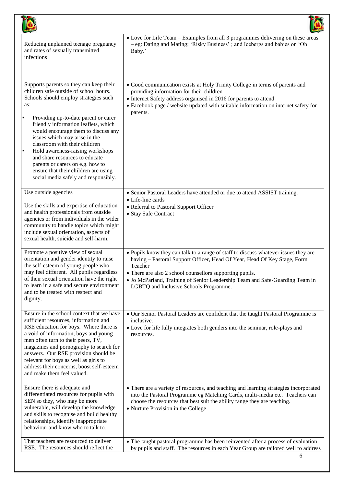| Reducing unplanned teenage pregnancy<br>and rates of sexually transmitted<br>infections                                                                                                                                                                                                                                                                                                                                                                                                                                        | • Love for Life Team - Examples from all 3 programmes delivering on these areas<br>- eg: Dating and Mating; 'Risky Business'; and Icebergs and babies on 'Oh<br>Baby.'                                                                                                                                                                                         |
|--------------------------------------------------------------------------------------------------------------------------------------------------------------------------------------------------------------------------------------------------------------------------------------------------------------------------------------------------------------------------------------------------------------------------------------------------------------------------------------------------------------------------------|----------------------------------------------------------------------------------------------------------------------------------------------------------------------------------------------------------------------------------------------------------------------------------------------------------------------------------------------------------------|
| Supports parents so they can keep their<br>children safe outside of school hours.<br>Schools should employ strategies such<br>as:<br>Providing up-to-date parent or carer<br>٠<br>friendly information leaflets, which<br>would encourage them to discuss any<br>issues which may arise in the<br>classroom with their children<br>Hold awareness-raising workshops<br>×<br>and share resources to educate<br>parents or carers on e.g. how to<br>ensure that their children are using<br>social media safely and responsibly. | • Good communication exists at Holy Trinity College in terms of parents and<br>providing information for their children<br>• Internet Safety address organised in 2016 for parents to attend<br>• Facebook page / website updated with suitable information on internet safety for<br>parents.                                                                 |
| Use outside agencies<br>Use the skills and expertise of education<br>and health professionals from outside<br>agencies or from individuals in the wider<br>community to handle topics which might<br>include sexual orientation, aspects of<br>sexual health, suicide and self-harm.                                                                                                                                                                                                                                           | • Senior Pastoral Leaders have attended or due to attend ASSIST training.<br>$\bullet$ Life-line cards<br>• Referral to Pastoral Support Officer<br>• Stay Safe Contract                                                                                                                                                                                       |
| Promote a positive view of sexual<br>orientation and gender identity to raise<br>the self-esteem of young people who<br>may feel different. All pupils regardless<br>of their sexual orientation have the right<br>to learn in a safe and secure environment<br>and to be treated with respect and<br>dignity.                                                                                                                                                                                                                 | • Pupils know they can talk to a range of staff to discuss whatever issues they are<br>having - Pastoral Support Officer, Head Of Year, Head Of Key Stage, Form<br>Teacher<br>There are also 2 school counsellors supporting pupils.<br>• Jo McParland, Training of Senior Leadership Team and Safe-Guarding Team in<br>LGBTQ and Inclusive Schools Programme. |
| Ensure in the school context that we have<br>sufficient resources, information and<br>RSE education for boys. Where there is<br>a void of information, boys and young<br>men often turn to their peers, TV,<br>magazines and pornography to search for<br>answers. Our RSE provision should be<br>relevant for boys as well as girls to<br>address their concerns, boost self-esteem<br>and make them feel valued.                                                                                                             | • Our Senior Pastoral Leaders are confident that the taught Pastoral Programme is<br>inclusive.<br>• Love for life fully integrates both genders into the seminar, role-plays and<br>resources.                                                                                                                                                                |
| Ensure there is adequate and<br>differentiated resources for pupils with<br>SEN so they, who may be more<br>vulnerable, will develop the knowledge<br>and skills to recognise and build healthy<br>relationships, identify inappropriate<br>behaviour and know who to talk to.                                                                                                                                                                                                                                                 | • There are a variety of resources, and teaching and learning strategies incorporated<br>into the Pastoral Programme eg Matching Cards, multi-media etc. Teachers can<br>choose the resources that best suit the ability range they are teaching.<br>• Nurture Provision in the College                                                                        |
| That teachers are resourced to deliver<br>RSE. The resources should reflect the                                                                                                                                                                                                                                                                                                                                                                                                                                                | • The taught pastoral programme has been reinvented after a process of evaluation<br>by pupils and staff. The resources in each Year Group are tailored well to address                                                                                                                                                                                        |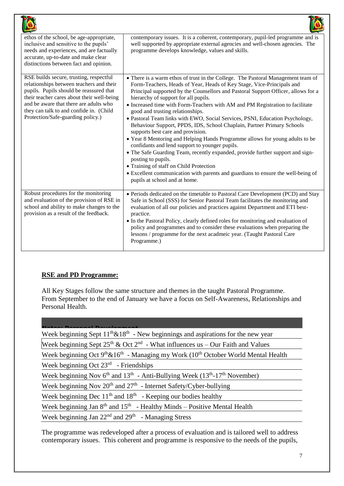| ethos of the school, be age-appropriate,<br>inclusive and sensitive to the pupils'<br>needs and experiences, and are factually<br>accurate, up-to-date and make clear<br>distinctions between fact and opinion.                                                                                        | contemporary issues. It is a coherent, contemporary, pupil-led programme and is<br>well supported by appropriate external agencies and well-chosen agencies. The<br>programme develops knowledge, values and skills.                                                                                                                                                                                                                                                                                                                                                                                                                                                                                                                                                                                                                                                                                                                                                                                                 |
|--------------------------------------------------------------------------------------------------------------------------------------------------------------------------------------------------------------------------------------------------------------------------------------------------------|----------------------------------------------------------------------------------------------------------------------------------------------------------------------------------------------------------------------------------------------------------------------------------------------------------------------------------------------------------------------------------------------------------------------------------------------------------------------------------------------------------------------------------------------------------------------------------------------------------------------------------------------------------------------------------------------------------------------------------------------------------------------------------------------------------------------------------------------------------------------------------------------------------------------------------------------------------------------------------------------------------------------|
| RSE builds secure, trusting, respectful<br>relationships between teachers and their<br>pupils. Pupils should be reassured that<br>their teacher cares about their well-being<br>and be aware that there are adults who<br>they can talk to and confide in. (Child<br>Protection/Safe-guarding policy.) | • There is a warm ethos of trust in the College. The Pastoral Management team of<br>Form-Teachers, Heads of Year, Heads of Key Stage, Vice-Principals and<br>Principal supported by the Counsellors and Pastoral Support Officer, allows for a<br>hierarchy of support for all pupils.<br>• Increased time with Form-Teachers with AM and PM Registration to facilitate<br>good and trusting relationships.<br>· Pastoral Team links with EWO, Social Services, PSNI, Education Psychology,<br>Behaviour Support, PPDS, IDS, School Chaplain, Partner Primary Schools<br>supports best care and provision.<br>• Year 8 Mentoring and Helping Hands Programme allows for young adults to be<br>confidants and lend support to younger pupils.<br>• The Safe Guarding Team, recently expanded, provide further support and sign-<br>posting to pupils.<br>• Training of staff on Child Protection<br>• Excellent communication with parents and guardians to ensure the well-being of<br>pupils at school and at home. |
| Robust procedures for the monitoring<br>and evaluation of the provision of RSE in<br>school and ability to make changes to the<br>provision as a result of the feedback.                                                                                                                               | • Periods dedicated on the timetable to Pastoral Care Development (PCD) and Stay<br>Safe in School (SSS) for Senior Pastoral Team facilitates the monitoring and<br>evaluation of all our policies and practices against Department and ETI best-<br>practice.<br>• In the Pastoral Policy, clearly defined roles for monitoring and evaluation of<br>policy and programmes and to consider these evaluations when preparing the<br>lessons / programme for the next acadmeic year. (Taught Pastoral Care<br>Programme.)                                                                                                                                                                                                                                                                                                                                                                                                                                                                                             |

## **RSE and PD Programme:**

All Key Stages follow the same structure and themes in the taught Pastoral Programme. From September to the end of January we have a focus on Self-Awareness, Relationships and Personal Health.

| Week beginning Sept $11^{th}\&18^{th}$ - New beginnings and aspirations for the new year                       |
|----------------------------------------------------------------------------------------------------------------|
| Week beginning Sept $25^{th}$ & Oct $2^{nd}$ - What influences us – Our Faith and Values                       |
| Week beginning Oct $9^{th}$ &16 <sup>th</sup> - Managing my Work (10 <sup>th</sup> October World Mental Health |
| Week beginning Oct $23rd$ - Friendships                                                                        |
| Week beginning Nov $6^{th}$ and $13^{th}$ - Anti-Bullying Week ( $13^{th}$ -17 <sup>th</sup> November)         |
| Week beginning Nov $20^{th}$ and $27^{th}$ - Internet Safety/Cyber-bullying                                    |
| Week beginning Dec $11th$ and $18th$ - Keeping our bodies healthy                                              |
| Week beginning Jan $8th$ and $15th$ - Healthy Minds – Positive Mental Health                                   |
| Week beginning Jan $22nd$ and $29th$ - Managing Stress                                                         |

The programme was redeveloped after a process of evaluation and is tailored well to address contemporary issues. This coherent and programme is responsive to the needs of the pupils,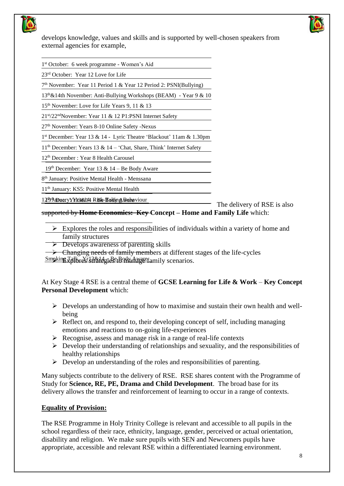

develops knowledge, values and skills and is supported by well-chosen speakers from external agencies for example,



1 st October: 6 week programme - Women's Aid

23rd October: Year 12 Love for Life

7 th November: Year 11 Period 1 & Year 12 Period 2: PSNI(Bullying)

13th&14th November: Anti-Bullying Workshops (BEAM) - Year 9 & 10

15th November: Love for Life Years 9, 11 & 13

21st/22ndNovember: Year 11 & 12 P1:PSNI Internet Safety

27th November: Years 8-10 Online Safety -Nexus

1 st December: Year 13 & 14 - Lyric Theatre 'Blackout' 11am & 1.30pm

 $11<sup>th</sup>$  December: Years 13 & 14 – 'Chat, Share, Think' Internet Safety

12th December : Year 8 Health Carousel

19<sup>th</sup> December: Year 13 & 14 – Be Body Aware

8 th January: Positive Mental Health - Menssana

11th January: KS5: Positive Mental Health

12<sup>th T</sup>aDuary Yrlaw144 RiBk-Eoking Bahaviour

The delivery of RSE is also

supported by **Home Economics: Key Concept – Home and Family Life** which:

- $\triangleright$  Explores the roles and responsibilities of individuals within a variety of home and family structures
- $\triangleright$  Develops awareness of parenting skills
- **Example 2** Changing needs of family members at different stages of the life-cycles

Smoking Talkres strategies to wanaf aware family scenarios.

At Key Stage 4 RSE is a central theme of **GCSE Learning for Life & Work** – **Key Concept Personal Development** which:

- $\triangleright$  Develops an understanding of how to maximise and sustain their own health and wellbeing
- $\triangleright$  Reflect on, and respond to, their developing concept of self, including managing emotions and reactions to on-going life-experiences
- $\triangleright$  Recognise, assess and manage risk in a range of real-life contexts
- $\triangleright$  Develop their understanding of relationships and sexuality, and the responsibilities of healthy relationships
- $\triangleright$  Develop an understanding of the roles and responsibilities of parenting.

Many subjects contribute to the delivery of RSE. RSE shares content with the Programme of Study for **Science, RE, PE, Drama and Child Development**. The broad base for its delivery allows the transfer and reinforcement of learning to occur in a range of contexts.

## **Equality of Provision:**

The RSE Programme in Holy Trinity College is relevant and accessible to all pupils in the school regardless of their race, ethnicity, language, gender, perceived or actual orientation, disability and religion. We make sure pupils with SEN and Newcomers pupils have appropriate, accessible and relevant RSE within a differentiated learning environment.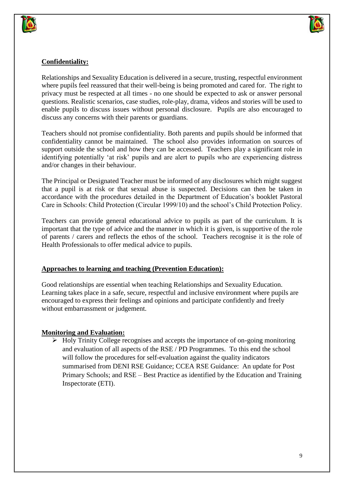



## **Confidentiality:**

Relationships and Sexuality Education is delivered in a secure, trusting, respectful environment where pupils feel reassured that their well-being is being promoted and cared for. The right to privacy must be respected at all times - no one should be expected to ask or answer personal questions. Realistic scenarios, case studies, role-play, drama, videos and stories will be used to enable pupils to discuss issues without personal disclosure. Pupils are also encouraged to discuss any concerns with their parents or guardians.

Teachers should not promise confidentiality. Both parents and pupils should be informed that confidentiality cannot be maintained. The school also provides information on sources of support outside the school and how they can be accessed. Teachers play a significant role in identifying potentially 'at risk' pupils and are alert to pupils who are experiencing distress and/or changes in their behaviour.

The Principal or Designated Teacher must be informed of any disclosures which might suggest that a pupil is at risk or that sexual abuse is suspected. Decisions can then be taken in accordance with the procedures detailed in the Department of Education's booklet Pastoral Care in Schools: Child Protection (Circular 1999/10) and the school's Child Protection Policy.

Teachers can provide general educational advice to pupils as part of the curriculum. It is important that the type of advice and the manner in which it is given, is supportive of the role of parents / carers and reflects the ethos of the school. Teachers recognise it is the role of Health Professionals to offer medical advice to pupils.

## **Approaches to learning and teaching (Prevention Education):**

Good relationships are essential when teaching Relationships and Sexuality Education. Learning takes place in a safe, secure, respectful and inclusive environment where pupils are encouraged to express their feelings and opinions and participate confidently and freely without embarrassment or judgement.

## **Monitoring and Evaluation:**

 $\triangleright$  Holy Trinity College recognises and accepts the importance of on-going monitoring and evaluation of all aspects of the RSE / PD Programmes. To this end the school will follow the procedures for self-evaluation against the quality indicators summarised from DENI RSE Guidance; CCEA RSE Guidance: An update for Post Primary Schools; and RSE – Best Practice as identified by the Education and Training Inspectorate (ETI).